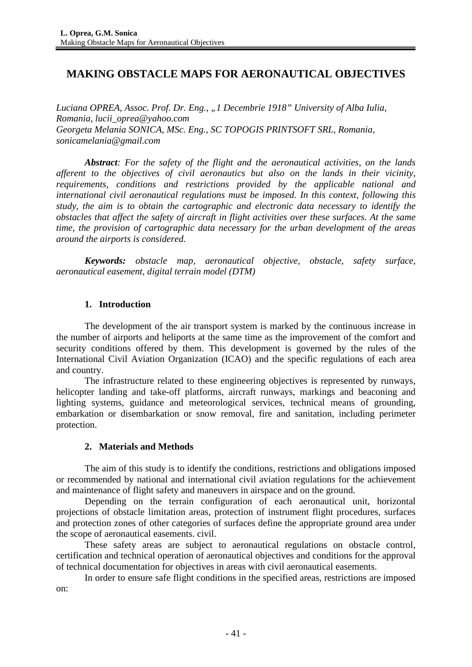# **MAKING OBSTACLE MAPS FOR AERONAUTICAL OBJECTIVES**

*Luciana OPREA, Assoc. Prof. Dr. Eng., "1 Decembrie 1918" University of Alba Iulia, Romania, lucii\_oprea@yahoo.com Georgeta Melania SONICA, MSc. Eng., SC TOPOGIS PRINTSOFT SRL, Romania, sonicamelania@gmail.com*

*Abstract: For the safety of the flight and the aeronautical activities, on the lands afferent to the objectives of civil aeronautics but also on the lands in their vicinity, requirements, conditions and restrictions provided by the applicable national and international civil aeronautical regulations must be imposed. In this context, following this study, the aim is to obtain the cartographic and electronic data necessary to identify the obstacles that affect the safety of aircraft in flight activities over these surfaces. At the same time, the provision of cartographic data necessary for the urban development of the areas around the airports is considered.*

*Keywords: obstacle map, aeronautical objective, obstacle, safety surface, aeronautical easement, digital terrain model (DTM)*

### **1. Introduction**

The development of the air transport system is marked by the continuous increase in the number of airports and heliports at the same time as the improvement of the comfort and security conditions offered by them. This development is governed by the rules of the International Civil Aviation Organization (ICAO) and the specific regulations of each area and country.

The infrastructure related to these engineering objectives is represented by runways, helicopter landing and take-off platforms, aircraft runways, markings and beaconing and lighting systems, guidance and meteorological services, technical means of grounding, embarkation or disembarkation or snow removal, fire and sanitation, including perimeter protection.

#### **2. Materials and Methods**

The aim of this study is to identify the conditions, restrictions and obligations imposed or recommended by national and international civil aviation regulations for the achievement and maintenance of flight safety and maneuvers in airspace and on the ground.

Depending on the terrain configuration of each aeronautical unit, horizontal projections of obstacle limitation areas, protection of instrument flight procedures, surfaces and protection zones of other categories of surfaces define the appropriate ground area under the scope of aeronautical easements. civil.

These safety areas are subject to aeronautical regulations on obstacle control, certification and technical operation of aeronautical objectives and conditions for the approval of technical documentation for objectives in areas with civil aeronautical easements.

In order to ensure safe flight conditions in the specified areas, restrictions are imposed on: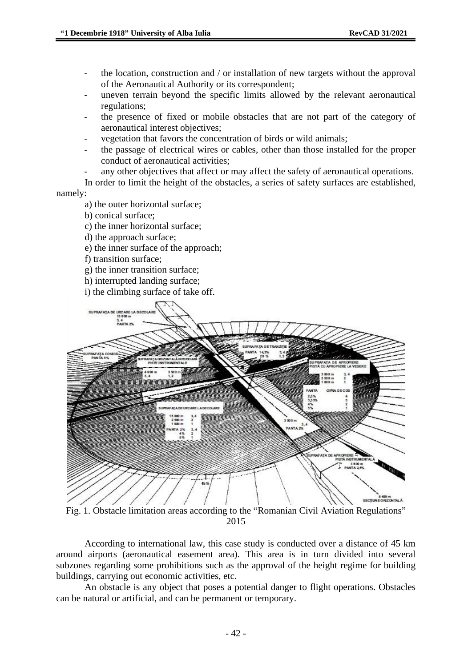- the location, construction and / or installation of new targets without the approval of the Aeronautical Authority or its correspondent;
- uneven terrain beyond the specific limits allowed by the relevant aeronautical regulations;
- the presence of fixed or mobile obstacles that are not part of the category of aeronautical interest objectives;
- vegetation that favors the concentration of birds or wild animals;
- the passage of electrical wires or cables, other than those installed for the proper conduct of aeronautical activities;
- any other objectives that affect or may affect the safety of aeronautical operations.

In order to limit the height of the obstacles, a series of safety surfaces are established, namely:

- a) the outer horizontal surface;
- b) conical surface;
- c) the inner horizontal surface;
- d) the approach surface;
- e) the inner surface of the approach;
- f) transition surface;
- g) the inner transition surface;
- h) interrupted landing surface;
- i) the climbing surface of take off.



Fig. 1. Obstacle limitation areas according to the "Romanian Civil Aviation Regulations" 2015

According to international law, this case study is conducted over a distance of 45 km around airports (aeronautical easement area). This area is in turn divided into several subzones regarding some prohibitions such as the approval of the height regime for building buildings, carrying out economic activities, etc.

An obstacle is any object that poses a potential danger to flight operations. Obstacles can be natural or artificial, and can be permanent or temporary.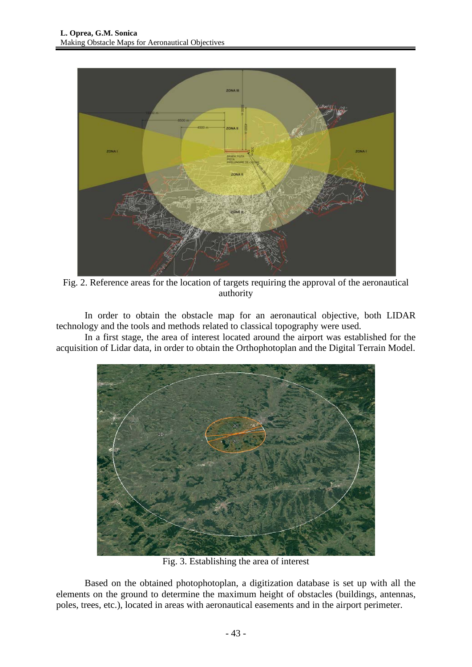

Fig. 2. Reference areas for the location of targets requiring the approval of the aeronautical authority

In order to obtain the obstacle map for an aeronautical objective, both LIDAR technology and the tools and methods related to classical topography were used.

In a first stage, the area of interest located around the airport was established for the acquisition of Lidar data, in order to obtain the Orthophotoplan and the Digital Terrain Model.



Fig. 3. Establishing the area of interest

Based on the obtained photophotoplan, a digitization database is set up with all the elements on the ground to determine the maximum height of obstacles (buildings, antennas, poles, trees, etc.), located in areas with aeronautical easements and in the airport perimeter.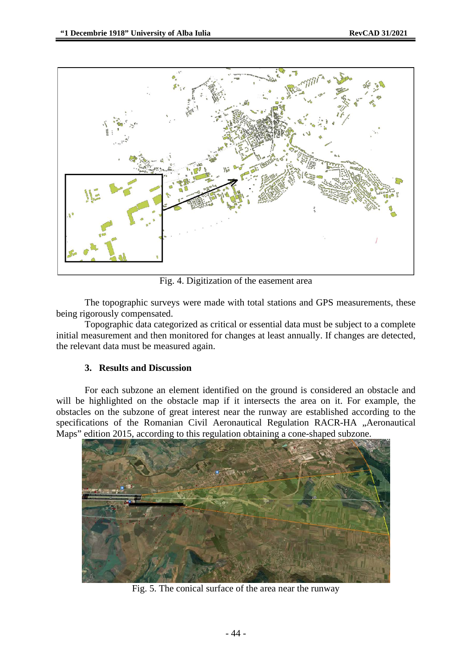

Fig. 4. Digitization of the easement area

The topographic surveys were made with total stations and GPS measurements, these being rigorously compensated.

Topographic data categorized as critical or essential data must be subject to a complete initial measurement and then monitored for changes at least annually. If changes are detected, the relevant data must be measured again.

#### **3. Results and Discussion**

For each subzone an element identified on the ground is considered an obstacle and will be highlighted on the obstacle map if it intersects the area on it. For example, the obstacles on the subzone of great interest near the runway are established according to the specifications of the Romanian Civil Aeronautical Regulation RACR-HA "Aeronautical Maps" edition 2015, according to this regulation obtaining a cone-shaped subzone.



Fig. 5. The conical surface of the area near the runway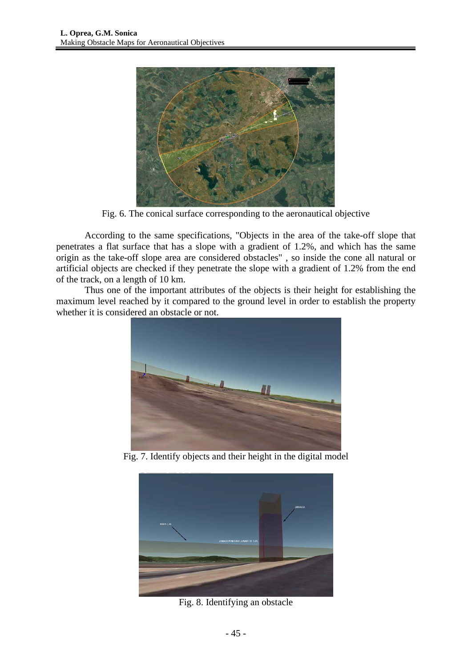

Fig. 6. The conical surface corresponding to the aeronautical objective

According to the same specifications, "Objects in the area of the take-off slope that penetrates a flat surface that has a slope with a gradient of 1.2%, and which has the same origin as the take-off slope area are considered obstacles" , so inside the cone all natural or artificial objects are checked if they penetrate the slope with a gradient of 1.2% from the end of the track, on a length of 10 km.

Thus one of the important attributes of the objects is their height for establishing the maximum level reached by it compared to the ground level in order to establish the property whether it is considered an obstacle or not.



Fig. 7. Identify objects and their height in the digital model



Fig. 8. Identifying an obstacle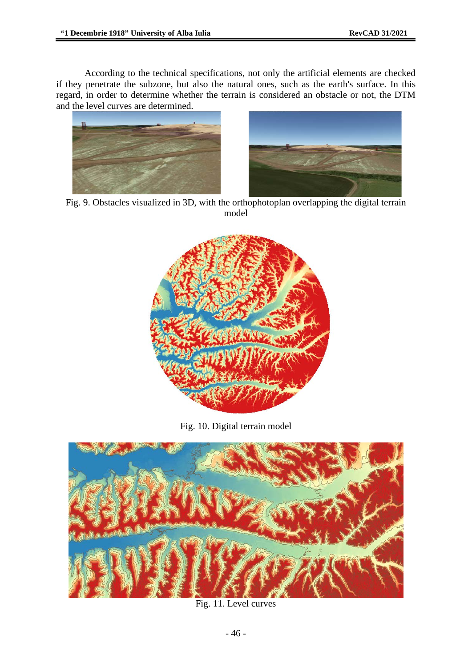According to the technical specifications, not only the artificial elements are checked if they penetrate the subzone, but also the natural ones, such as the earth's surface. In this regard, in order to determine whether the terrain is considered an obstacle or not, the DTM and the level curves are determined.





Fig. 9. Obstacles visualized in 3D, with the orthophotoplan overlapping the digital terrain model



Fig. 10. Digital terrain model



Fig. 11. Level curves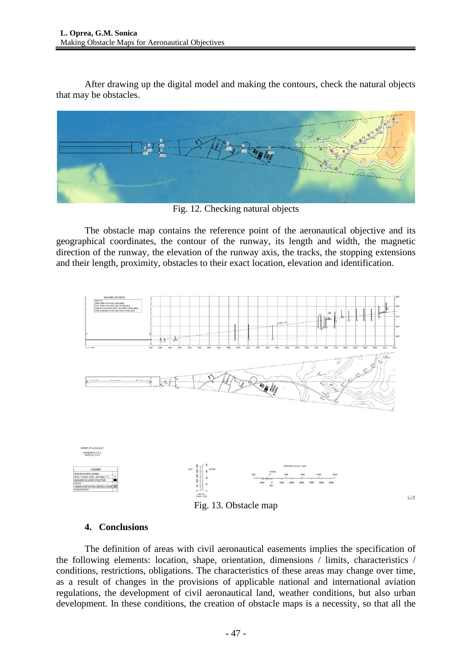After drawing up the digital model and making the contours, check the natural objects that may be obstacles.



Fig. 12. Checking natural objects

The obstacle map contains the reference point of the aeronautical objective and its geographical coordinates, the contour of the runway, its length and width, the magnetic direction of the runway, the elevation of the runway axis, the tracks, the stopping extensions and their length, proximity, obstacles to their exact location, elevation and identification.



## **4. Conclusions**

The definition of areas with civil aeronautical easements implies the specification of the following elements: location, shape, orientation, dimensions / limits, characteristics / conditions, restrictions, obligations. The characteristics of these areas may change over time, as a result of changes in the provisions of applicable national and international aviation regulations, the development of civil aeronautical land, weather conditions, but also urban development. In these conditions, the creation of obstacle maps is a necessity, so that all the